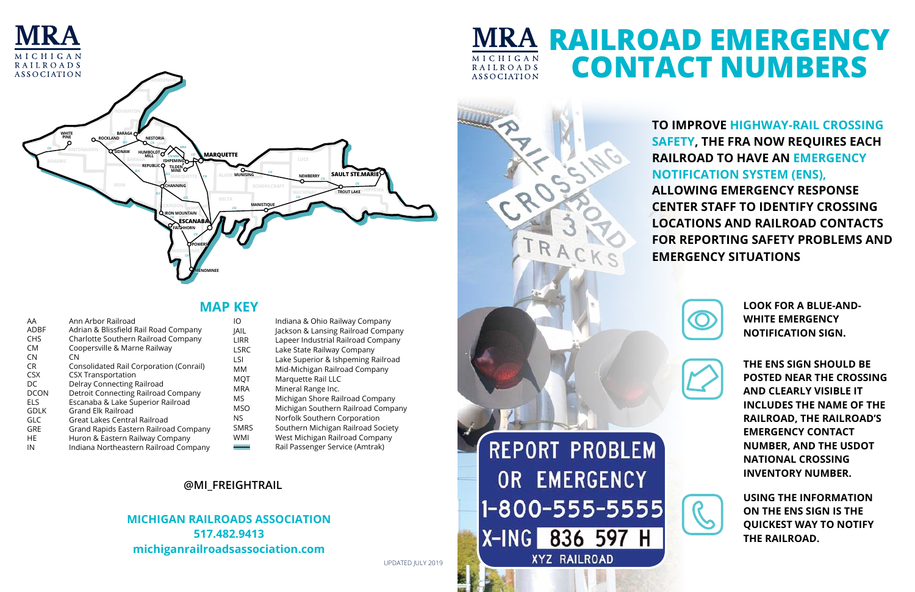# **To improve highway-rail crossing safety, the FRA now requires each railroad to have an Emergency Notification System (ENS),**

**allowing emergency response center staff to identify crossing locations and railroad contacts for reporting safety problems and emergency situations**



**HURON**

**COLLING CARO MARRIE** 

**LAPEER**

*HE HE*

### **@MI\_FreightRail HOLLAND**

#### **MICHIGAN RAILROADS ASSOCIATION 517.482.9413 michiganrailroadsassociation.com VAN BUREN** *CSX* **HARTFORD SCHOOLCRAFT KALAMAZOO ANN ARBOR**

**MICHIGAN RAILROADS ASSOCIATION** 

**HERE HERE REPORT PROBLEM BROWN CITY ST.CLAIR OR EMERGENCY PORT HURST MACOMB 1-800-555-5555 DETROIT** *DCON* **TRENTON XYZ RAILROAD** 

*CN*

*CN*

*CR*

*LIRR*



**ALABASTER**

# **MRA RAILROAD EMERGENCY Contact Numbers**

**PLYMOUTH**

| ΙO          | Indiana & Ohio Railway Company     |
|-------------|------------------------------------|
| <b>JAIL</b> | Jackson & Lansing Railroad Company |
| I IRR       | Lapeer Industrial Railroad Company |
| <b>LSRC</b> | Lake State Railway Company         |
| l SI        | Lake Superior & Ishpeming Railroad |
| MМ          | Mid-Michigan Railroad Company      |
| <b>MQT</b>  | Marquette Rail LLC                 |
| <b>MRA</b>  | Mineral Range Inc.                 |
| MS          | Michigan Shore Railroad Company    |
| <b>MSO</b>  | Michigan Southern Railroad Company |
| NS.         | Norfolk Southern Corporation       |
| <b>SMRS</b> | Southern Michigan Railroad Society |
| WMI         | West Michigan Railroad Company     |
|             | Rail Passenger Service (Amtrak)    |

**LAKE ORION**

**LAPEER**

**PIGEON KINDE**

| AA          | Ann Arbor Railroad                      | ΙO               |
|-------------|-----------------------------------------|------------------|
| <b>ADBF</b> | Adrian & Blissfield Rail Road Company   | JAIL             |
| <b>CHS</b>  | Charlotte Southern Railroad Company     | LIRR             |
| <b>CM</b>   | Coopersville & Marne Railway            | <b>LSRC</b>      |
| <b>CN</b>   | CΝ                                      | LSI              |
| <b>CR</b>   | Consolidated Rail Corporation (Conrail) | MМ               |
| <b>CSX</b>  | <b>CSX Transportation</b>               | <b>MQT</b>       |
| DC          | Delray Connecting Railroad              | <b>MRA</b>       |
| <b>DCON</b> | Detroit Connecting Railroad Company     |                  |
| <b>ELS</b>  | Escanaba & Lake Superior Railroad       | MS               |
| <b>GDLK</b> | <b>Grand Elk Railroad</b>               | MSO              |
| GLC         | Great Lakes Central Railroad            | NS.              |
| <b>GRE</b>  | Grand Rapids Eastern Railroad Company   | SMR <sub>3</sub> |
| <b>HE</b>   | Huron & Eastern Railway Company         | <b>WMI</b>       |
| IN          | Indiana Northeastern Railroad Company   |                  |

### **MAP KEY**

**Using the information on the ENS sign is the quickest way to notify the railroad.**

**The ENS sign should be posted near the crossing and clearly visible It includes the name of the railroad, the railroad's emergency contact number, and the USDOT National Crossing Inventory Number.**